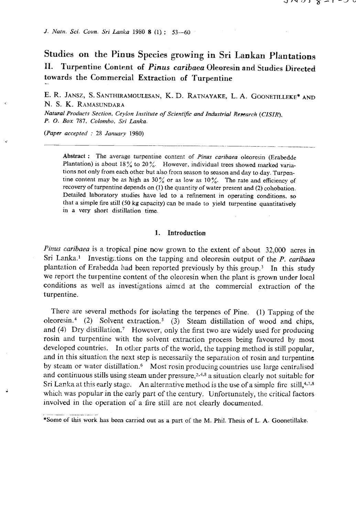*J. l\'utn. Sci.* **Coun.** *Sri Lunica* **1980 8 (1)** : **53-60** 

**Studies on the Pinus Species growing in Sri Lankan Plantations 11. Turpentine Content of Pinus caribaea Oleoresin and Studies Directed**  towards the Commercial Extraction of Turpentine

**E. R. JANSZ, S. SANTHIRAMOULESAN, K. D. RATNAYAKE, L. A. GOONETILLEKE\* AND N. S. K. RAMASUNDARA** 

*Natural Products Section, Ceylon Institute of Scientific and Industrial Research (CISIR). P.* **0.** *Box* **787,** *Colombo, Sri Lonka.* 

*(Paper accepted* : **<sup>28</sup>***January* **1980)** 

Abstract : The average turpentine content of *Pinus caribaea* oleoresin (Erabedde Plantation) is about 18% to 20%. However, individual trees showed marked variations not only from each other but also from season to season and day to day. Turpontine content may be as high as **30%** or as low as 10%. The rate and efficiency of recovery of turpentine depends on (1) the quantity of water present and (2) cohobation. Detailed laboratory studies have led to a refinement in operating conditions, so that a simple fire still **(50** kg capacity) can be made to yield turpentine quantitatively in a very short distillation time.

## **1. Introduction**

*Pinus caribaea* is *a* tropical pine **now** grown to the extent of about 32,000 acres in Sri Lanka.<sup>1</sup> Investigations on the tapping and oleoresin output of the *P. caribaea* plantation of Erabedda had been reported previously by this group.<sup>3</sup> In this study we report the turpentine content of the oleoresin when the plant is grown under local conditions as well as investigations aimed at the commercial extraction of the turpentine.

There are several methods for isolating the terpenes of Pine. (1) Tapping of the oleoresin.<sup>4</sup> (2) Solvent extraction.<sup>5</sup> (3) Steam distillation of wood and chips, and  $(4)$  Dry distillation.<sup>7</sup> However, only the first two are widely used for producing rosin and turpentine with the soIvent extraction process being favoured by most developed countries. In other parts of the world, the tapping method is still popular, and in this situation the next step is necessarily the separation of rosin and turpentine by steam or water distillation.<sup>6</sup> Most rosin producing countries use large centralised and continuous stills using steam under pressure,  $2.4.3$  a situation clearly not suitable for Sri Lanka at this early stage. An alternative method is the use of a simple fire  $\,\mathrm{still,47,8}\,$ which was popular in the early part of the century. Unfortunately, the critical factors involved in the operation of a fire still are not clearly documented.

<sup>- - - - -- - - .</sup>  \*Some of **ths** work has been carrled out as a part of the M. Phil. Thesis of L. A. Goonetillake.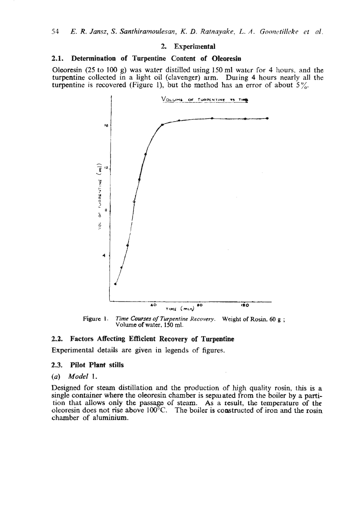#### **2. Experimental**

#### **2.1. Determination of** Turpentine **Content of Oleoresin**

Oleoresin (25 to 100 g) was water distilled using 150 **ml** water for 4 liours. and the turpentine collected in a light oil (clavenger) arm. During 4 hours nearly all the turpentine is recovered (Figure 1), but the method has an error of about  $5\frac{\omega}{6}$ .



**Figure 1.** *Time Courses of Turpentine Recovery.* Weight of Rosin, 60 g; **Volume of water, 150 ml.** 

# **2.2. Factors Affecting Efficient Recovery of Turpentine**

Experimental details are given in legends of figures.

## **2.3. Pilot Plant stills**

# (a) Model I.

Designed for steam distillation and the production of high quality rosin, this is a single container where the oleoresin chamber is sepmated from **the** boiler by **a** partithat allows only the passage of steam. As a result, the temperature of the bleoresin does not rise above 100°C. The boiler is constructed of iron and the rosin chamber of aluminium.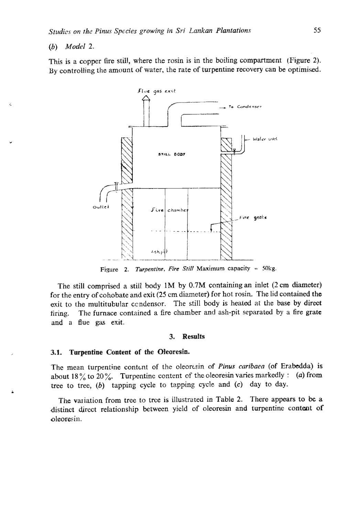# *(b) Model 2.*

This is a copper fire still, where the rosin is in the boiling compartment (Figure 2). **By** controlling the amount of water, **the** rare of turpentine recovery can be optimised.



**Figure 2.** *Turpentine, Fire Still* **Maximum capacity** - **50kg.** 

The still comprised a still body **1M** by **0.7M** containing an inlet (2 cm diameter) for the entry of cohobate and exii (25 cm diameter) for hot rosin. The lid contained the exit to the multitubular ccndensor. The still body is heated at the base by direct firing. The furnace contained a fire chamber and ash-pit separated by a fire grate and a flue **gas** exit.

#### **3. Results**

### **3.1. Turpentine Content of the Oleoresin.**

The mean turpentine content of the oleoresin of *Pinus caribaea* (of Erabedda) is about 18% to 20%. Turpentine content of the oleoresin varies markedly : (a) from tree to tree, *(b)* tapping cycle to tapping cycle and **(c)** day to day.

The variation from tree to tree is illustrated in Table 2. There appears to be a distinct direct relationship between yield of oleoresin and turpentinc content of oleoresin.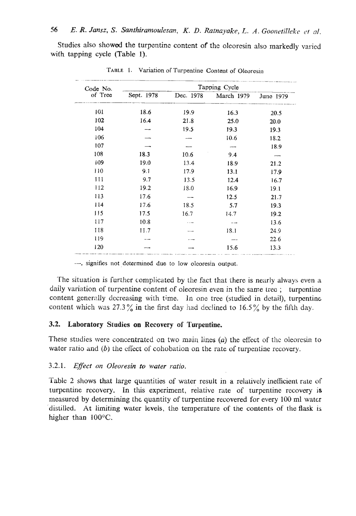Studies also showed the turpentine content of the oleoresin also markedly varied with tapping cycle (Table 1).

| Code No.<br>of Tree | Tapping Cycle |           |            |           |
|---------------------|---------------|-----------|------------|-----------|
|                     | Sept. 1978    | Dec. 1978 | March 1979 | June 1979 |
| 101                 | 18.6          | 19.9      | 16.3       | 20.5      |
| 102                 | 16.4          | 21.8      | 25.0       | 20.0      |
| 104                 |               | 19.5      | 19.3       | 19.3      |
| i06                 |               |           | 10.6       | 18.2      |
| 107                 |               |           |            | 18.9      |
| 108                 | 18.3          | 10.6      | 9.4        |           |
| 109                 | 19.0          | 13.4      | 18.9       | 21.2      |
| 110                 | 9.1           | 17.9      | 13.1       | 17.9      |
| 111                 | 9.7           | 13.5      | 12.4       | 16.7      |
| 112                 | 19.2          | 18.0      | 16.9       | 19.1      |
| 113                 | 17.6          |           | 12.5       | 21.7      |
| 114                 | 17.6          | 18.5      | 5.7        | 19.3      |
| 115                 | 17.5          | 16.7      | 14.7       | 19.2      |
| 117                 | 10.8          |           |            | 13.6      |
| 118                 | 11.7          |           | 18.1       | 24.9      |
| 119                 |               |           |            | 22.6      |
| 120                 |               |           | 15.6       | 13.3      |

TABLE 1. Variation of Turpentine Content of Oleoresin

--, signifies not determined due to low oleoresin output.

'The situation is further complicated by the fact that there is nearly always even a daily variation of turpentine content of oleoresin even in thc sane trec ; turpentine content generally decreasing with time. In one tree (studied in detail), turpentine content which was 27.3% in the first day had declined to 16.5% by the fifth day.

# **3.2. Laboratory Studies on Recovery of Turpentine.**

These studies were concentrated on two main lines  $(a)$  the effect of the oleoresin to water ratio and *(b)* **the** cflect of cohobation on the rate of turpentine recovery.

#### 3.2.1. *E'ect on Oleoresin to water ratio.*

Table 2 shows that large quantities of water result in **a** relatively inefficient rate of turpentine recovery. In this experiment, relative rate of turpentine recovery is measured by determining the quantity of turpentine recovered for every 100 ml water distilled. At limiting water levels, the temperature of the contents of the **flask** is higher than **100°C.**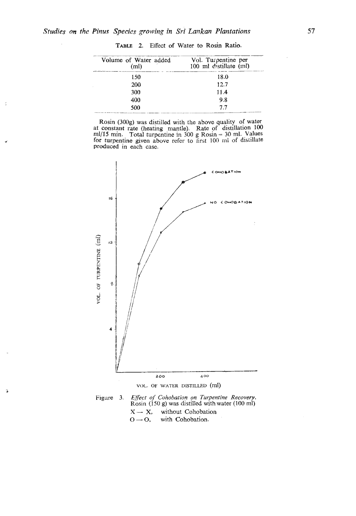¢

s.

| TABLE 2. Effect of Water to Rosin Ratio.   |                                               |
|--------------------------------------------|-----------------------------------------------|
| Volume of Water added<br>(m <sub>l</sub> ) | Vol. Turpentine per<br>100 ml distillate (ml) |
| 150                                        | 18.0                                          |
| 200                                        | 12.7                                          |
| 300                                        | 11.4                                          |
| 400                                        | 9.8                                           |
| 500                                        | 7.7                                           |
|                                            |                                               |

**TABLE** 2. Effect of Water to Rosin Ratio.

Rosin (300g) was distilled with the above quality of water<br>at constant rate (heating mantle). Rate of distillation 100<br>ml/15 min. Total turpentine in 300 g Rosin = 30 ml. Values<br>for turpentine given above refer to first 1 produced in each case.



<sup>0</sup>- 0, with Cohobation.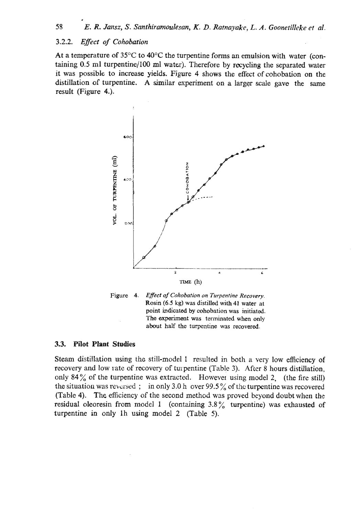#### *3.2.2. Efect of Cohobation*

**At** a temperature of 35°C to **40°C** the turpentine forms an emulsion with water (containing 0.5 ml turpentine/100 ml water). Therefore by recycling the separated water it was possible to increase yields. Figure 4 shows the effect of cohobation on the distillation of turpentine. A similar experiment on a larger scale gave the same result (Figure 4.).





## **3.3. Pilot Plant Studies**

Steam distillation using the still-model 1 resulted in both a very low efficiency of recovery and low rate of recovery of turpentine (Table 3). After 8 hours distillation, only **84%** of the turpentine was extracted. However using model 2, (the fire still) the situation was reversed; in only 3.0 h over 99.5% of the turpentine was recovered (Table **4).** The efficiency of the second method was proved beyond doubt when thc residual oleoresin from model 1 (containing  $3.8\%$  turpentine) was exhausted of turpentine in only lh using model 2 (Table **5).**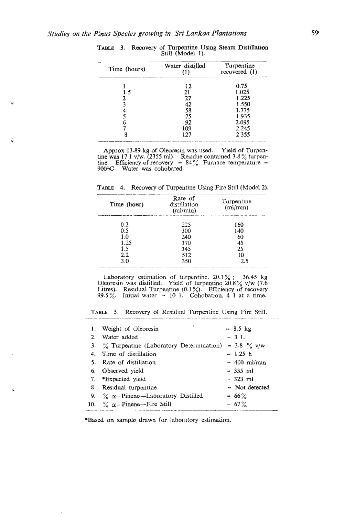÷

| Time (hours) | Water distilled<br>(1) | Turpentine<br>recovered $(1)$ |
|--------------|------------------------|-------------------------------|
|              | 12                     | 0.75                          |
| 1.5          | 21                     | 1.025                         |
| 2            | 27                     | 1.225                         |
| ٩            | 42                     | 1.550                         |
|              | 58                     | 1.775                         |
|              | 75                     | 1.935                         |
|              | 92                     | 2.095                         |
|              | 109                    | 2.245                         |
|              | 127                    | 2.355                         |

TABLE 3. Recovery of Turpentine Using Steam Distillation Still (Model 1).

Approx 13.89 kg of Oleoresin was used. Yield of Turpentine was 17.1 v/w. (2355 ml). Residue contained 3.8% turpentine. Efficiency of recovery = 84%. Furnace temperature = **90°C.** Water was cohobated.

**TABLE** 4. Recovery of Turpentine Using **Fire** Still **(Model 2).** 

| Time (hour) | Rate of<br>distillation<br>$m$ l/min $)$ | Turpentine<br>(ml/min) |  |
|-------------|------------------------------------------|------------------------|--|
| 0.2         | 225                                      | 160                    |  |
| 0.5         | 300                                      | 140                    |  |
| 1.0         | 240                                      | 60                     |  |
| 1.25        | 370                                      | 45                     |  |
| 1.5         | 345                                      | 25                     |  |
| $2.2\,$     | 512                                      | 10                     |  |
| 3.0         | 350                                      | 2.5                    |  |

Laboratory estimation of turpentine. 20.1%; **36.45 kg** Oleoresin was distilled. Yield of turpentine 20.8% **v/w** (7.6) Litres). Residual Turpentine  $(0.1\%)$ . Efficiency of recovery<br>99.5%. Initial water = 10 1. Cohobation, 4 1 at a time.<br>TABLE 5. Recovery of Residual Turpentine Using Fire Still.

|    | 4<br>1. Weight of Oleoresin                   | $= 8.5 \text{ kg}$    |
|----|-----------------------------------------------|-----------------------|
| 2. | Water added                                   | $-3$ L                |
|    | 3. % Turpentine (Laboratory Determination)    | $= 3.8 \%$ v/w        |
|    | 4. Time of distillation                       | $-1.25 h$             |
|    | 5. Rate of distillation                       | $= 400$ ml/min        |
|    | 6. Observed vield                             | $=$ 335 ml            |
|    | 7. *Expected yield                            | $= 323$ ml            |
|    | 8. Residual turpentine                        | $\equiv$ Not detected |
|    | 9. $\%$ $\alpha$ -Pinene-Laboratory Distilled | $= 66\%$              |
|    | 10. $\%$ $\alpha$ - Pinene—Fire Still         | $= 67\%$              |
|    |                                               |                       |

\*Based on sample drawn for labolatory estimation.